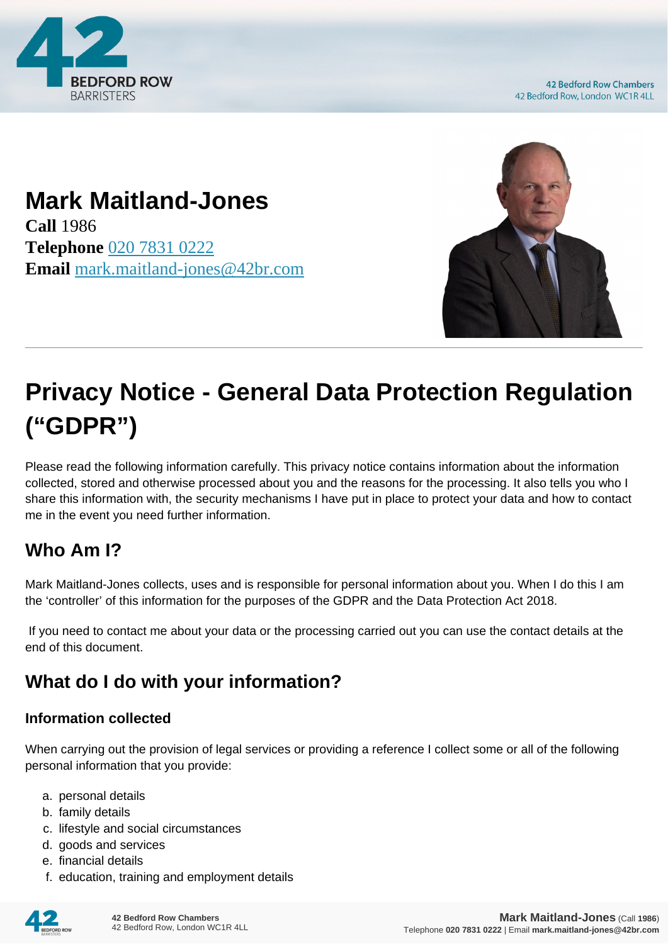

**42 Bedford Row Chambers** 42 Bedford Row, London WC1R 4LL

## **Mark Maitland-Jones**

**Call** 1986 **Telephone** [020 7831 0222](https://pdf.codeshore.co/_42br/tel:020 7831 0222) **Email** [mark.maitland-jones@42br.com](mailto:mark.maitland-jones@42br.com)



# **Privacy Notice - General Data Protection Regulation ("GDPR")**

Please read the following information carefully. This privacy notice contains information about the information collected, stored and otherwise processed about you and the reasons for the processing. It also tells you who I share this information with, the security mechanisms I have put in place to protect your data and how to contact me in the event you need further information.

### **Who Am I?**

Mark Maitland-Jones collects, uses and is responsible for personal information about you. When I do this I am the 'controller' of this information for the purposes of the GDPR and the Data Protection Act 2018.

 If you need to contact me about your data or the processing carried out you can use the contact details at the end of this document.

### **What do I do with your information?**

#### **Information collected**

When carrying out the provision of legal services or providing a reference I collect some or all of the following personal information that you provide:

- a. personal details
- b. family details
- c. lifestyle and social circumstances
- d. goods and services
- e. financial details
- f. education, training and employment details

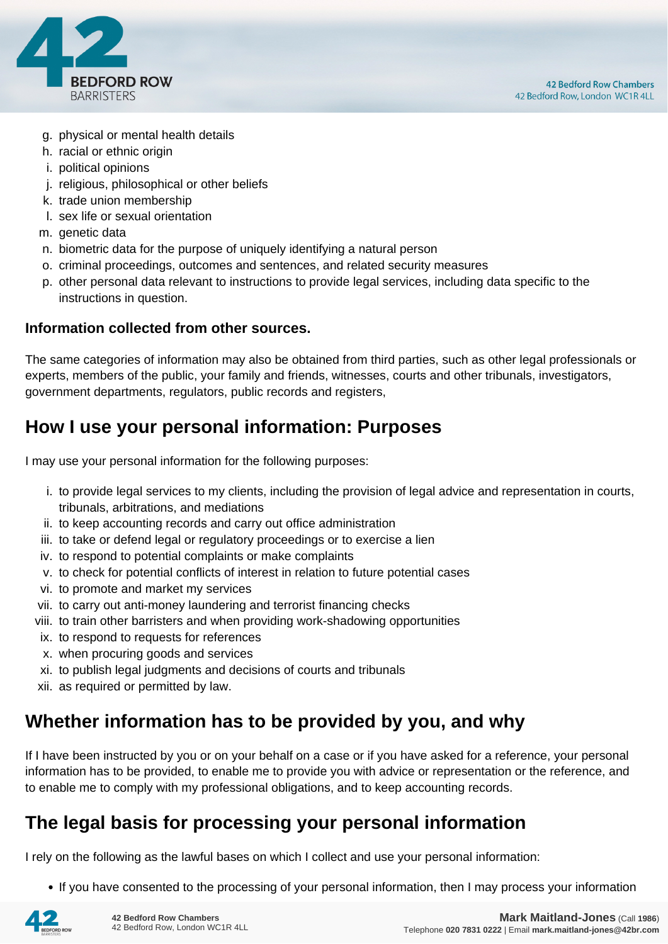

- g. physical or mental health details
- h. racial or ethnic origin
- i. political opinions
- j. religious, philosophical or other beliefs
- k. trade union membership
- l. sex life or sexual orientation
- m. genetic data
- n. biometric data for the purpose of uniquely identifying a natural person
- o. criminal proceedings, outcomes and sentences, and related security measures
- p. other personal data relevant to instructions to provide legal services, including data specific to the instructions in question.

#### **Information collected from other sources.**

The same categories of information may also be obtained from third parties, such as other legal professionals or experts, members of the public, your family and friends, witnesses, courts and other tribunals, investigators, government departments, regulators, public records and registers,

#### **How I use your personal information: Purposes**

I may use your personal information for the following purposes:

- i. to provide legal services to my clients, including the provision of legal advice and representation in courts, tribunals, arbitrations, and mediations
- ii. to keep accounting records and carry out office administration
- iii. to take or defend legal or regulatory proceedings or to exercise a lien
- iv. to respond to potential complaints or make complaints
- v. to check for potential conflicts of interest in relation to future potential cases
- vi. to promote and market my services
- vii. to carry out anti-money laundering and terrorist financing checks
- viii. to train other barristers and when providing work-shadowing opportunities
- ix. to respond to requests for references
- x. when procuring goods and services
- xi. to publish legal judgments and decisions of courts and tribunals
- xii. as required or permitted by law.

#### **Whether information has to be provided by you, and why**

If I have been instructed by you or on your behalf on a case or if you have asked for a reference, your personal information has to be provided, to enable me to provide you with advice or representation or the reference, and to enable me to comply with my professional obligations, and to keep accounting records.

#### **The legal basis for processing your personal information**

I rely on the following as the lawful bases on which I collect and use your personal information:

• If you have consented to the processing of your personal information, then I may process your information

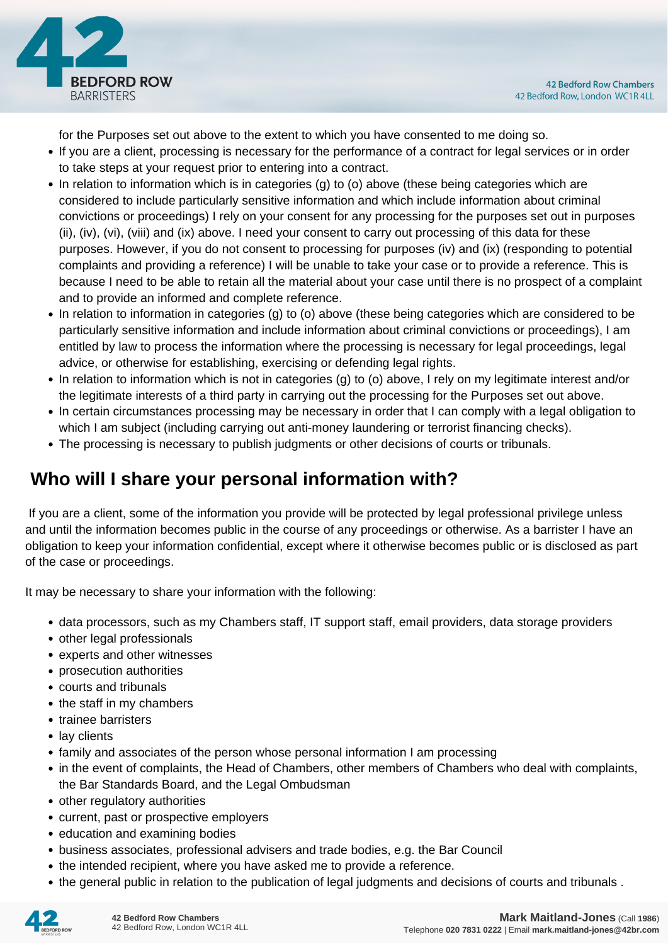

for the Purposes set out above to the extent to which you have consented to me doing so.

- If you are a client, processing is necessary for the performance of a contract for legal services or in order to take steps at your request prior to entering into a contract.
- In relation to information which is in categories (g) to (o) above (these being categories which are considered to include particularly sensitive information and which include information about criminal convictions or proceedings) I rely on your consent for any processing for the purposes set out in purposes (ii), (iv), (vi), (viii) and (ix) above. I need your consent to carry out processing of this data for these purposes. However, if you do not consent to processing for purposes (iv) and (ix) (responding to potential complaints and providing a reference) I will be unable to take your case or to provide a reference. This is because I need to be able to retain all the material about your case until there is no prospect of a complaint and to provide an informed and complete reference.
- In relation to information in categories (g) to (o) above (these being categories which are considered to be particularly sensitive information and include information about criminal convictions or proceedings), I am entitled by law to process the information where the processing is necessary for legal proceedings, legal advice, or otherwise for establishing, exercising or defending legal rights.
- In relation to information which is not in categories (g) to (o) above, I rely on my legitimate interest and/or the legitimate interests of a third party in carrying out the processing for the Purposes set out above.
- In certain circumstances processing may be necessary in order that I can comply with a legal obligation to which I am subject (including carrying out anti-money laundering or terrorist financing checks).
- The processing is necessary to publish judgments or other decisions of courts or tribunals.

#### **Who will I share your personal information with?**

 If you are a client, some of the information you provide will be protected by legal professional privilege unless and until the information becomes public in the course of any proceedings or otherwise. As a barrister I have an obligation to keep your information confidential, except where it otherwise becomes public or is disclosed as part of the case or proceedings.

It may be necessary to share your information with the following:

- data processors, such as my Chambers staff, IT support staff, email providers, data storage providers
- other legal professionals
- experts and other witnesses
- prosecution authorities
- courts and tribunals
- the staff in my chambers
- trainee barristers
- lay clients
- family and associates of the person whose personal information I am processing
- in the event of complaints, the Head of Chambers, other members of Chambers who deal with complaints, the Bar Standards Board, and the Legal Ombudsman
- other regulatory authorities
- current, past or prospective employers
- education and examining bodies
- business associates, professional advisers and trade bodies, e.g. the Bar Council
- the intended recipient, where you have asked me to provide a reference.
- the general public in relation to the publication of legal judgments and decisions of courts and tribunals .

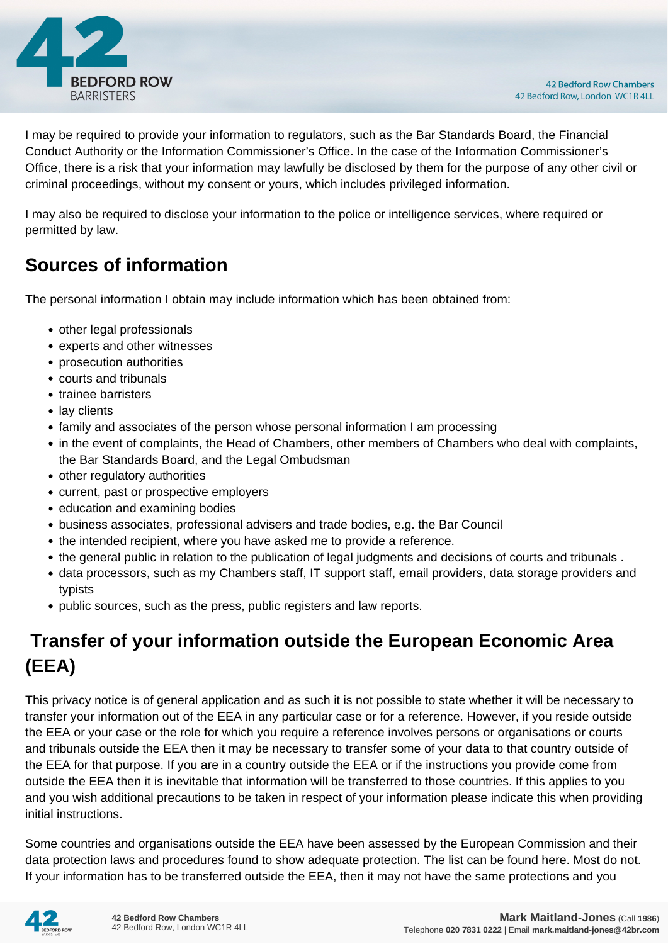

I may be required to provide your information to regulators, such as the Bar Standards Board, the Financial Conduct Authority or the Information Commissioner's Office. In the case of the Information Commissioner's Office, there is a risk that your information may lawfully be disclosed by them for the purpose of any other civil or criminal proceedings, without my consent or yours, which includes privileged information.

I may also be required to disclose your information to the police or intelligence services, where required or permitted by law.

#### **Sources of information**

The personal information I obtain may include information which has been obtained from:

- other legal professionals
- experts and other witnesses
- prosecution authorities
- courts and tribunals
- trainee barristers
- lay clients
- family and associates of the person whose personal information I am processing
- in the event of complaints, the Head of Chambers, other members of Chambers who deal with complaints, the Bar Standards Board, and the Legal Ombudsman
- other regulatory authorities
- current, past or prospective employers
- education and examining bodies
- business associates, professional advisers and trade bodies, e.g. the Bar Council
- the intended recipient, where you have asked me to provide a reference.
- the general public in relation to the publication of legal judgments and decisions of courts and tribunals .
- data processors, such as my Chambers staff, IT support staff, email providers, data storage providers and typists
- public sources, such as the press, public registers and law reports.

### **Transfer of your information outside the European Economic Area (EEA)**

This privacy notice is of general application and as such it is not possible to state whether it will be necessary to transfer your information out of the EEA in any particular case or for a reference. However, if you reside outside the EEA or your case or the role for which you require a reference involves persons or organisations or courts and tribunals outside the EEA then it may be necessary to transfer some of your data to that country outside of the EEA for that purpose. If you are in a country outside the EEA or if the instructions you provide come from outside the EEA then it is inevitable that information will be transferred to those countries. If this applies to you and you wish additional precautions to be taken in respect of your information please indicate this when providing initial instructions.

Some countries and organisations outside the EEA have been assessed by the European Commission and their data protection laws and procedures found to show adequate protection. The list can be found here. Most do not. If your information has to be transferred outside the EEA, then it may not have the same protections and you

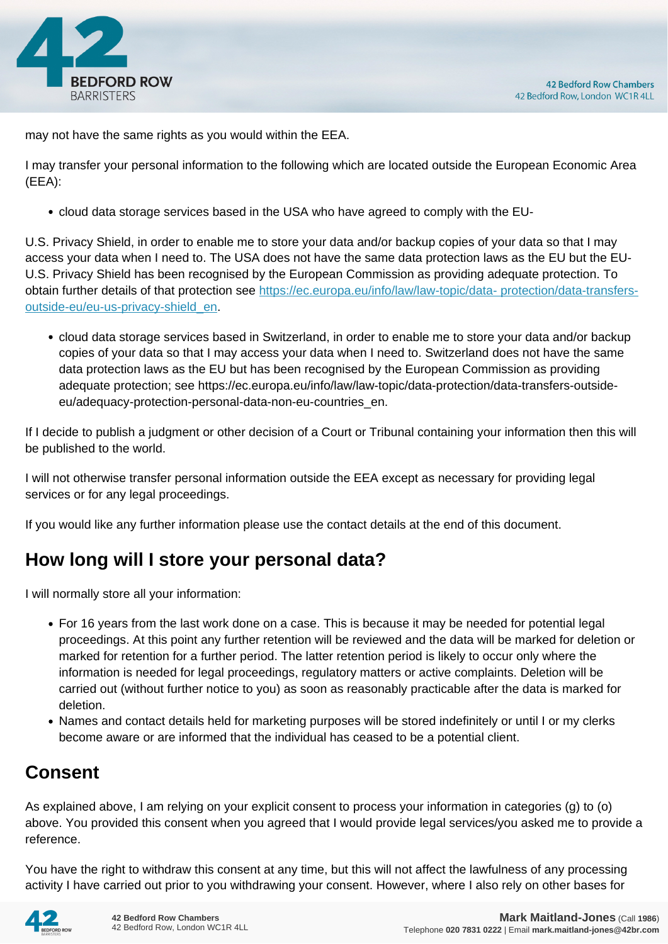

may not have the same rights as you would within the EEA.

I may transfer your personal information to the following which are located outside the European Economic Area (EEA):

cloud data storage services based in the USA who have agreed to comply with the EU-

U.S. Privacy Shield, in order to enable me to store your data and/or backup copies of your data so that I may access your data when I need to. The USA does not have the same data protection laws as the EU but the EU-U.S. Privacy Shield has been recognised by the European Commission as providing adequate protection. To obtain further details of that protection see [https://ec.europa.eu/info/law/law-topic/data- protection/data-transfers](https://ec.europa.eu/info/law/law-topic/data- protection/data-transfers-outside-eu/eu-us-privacy-shield_en)[outside-eu/eu-us-privacy-shield\\_en.](https://ec.europa.eu/info/law/law-topic/data- protection/data-transfers-outside-eu/eu-us-privacy-shield_en)

cloud data storage services based in Switzerland, in order to enable me to store your data and/or backup copies of your data so that I may access your data when I need to. Switzerland does not have the same data protection laws as the EU but has been recognised by the European Commission as providing adequate protection; see https://ec.europa.eu/info/law/law-topic/data-protection/data-transfers-outsideeu/adequacy-protection-personal-data-non-eu-countries\_en.

If I decide to publish a judgment or other decision of a Court or Tribunal containing your information then this will be published to the world.

I will not otherwise transfer personal information outside the EEA except as necessary for providing legal services or for any legal proceedings.

If you would like any further information please use the contact details at the end of this document.

#### **How long will I store your personal data?**

I will normally store all your information:

- For 16 years from the last work done on a case. This is because it may be needed for potential legal proceedings. At this point any further retention will be reviewed and the data will be marked for deletion or marked for retention for a further period. The latter retention period is likely to occur only where the information is needed for legal proceedings, regulatory matters or active complaints. Deletion will be carried out (without further notice to you) as soon as reasonably practicable after the data is marked for deletion.
- Names and contact details held for marketing purposes will be stored indefinitely or until I or my clerks become aware or are informed that the individual has ceased to be a potential client.

#### **Consent**

As explained above, I am relying on your explicit consent to process your information in categories (g) to (o) above. You provided this consent when you agreed that I would provide legal services/you asked me to provide a reference.

You have the right to withdraw this consent at any time, but this will not affect the lawfulness of any processing activity I have carried out prior to you withdrawing your consent. However, where I also rely on other bases for

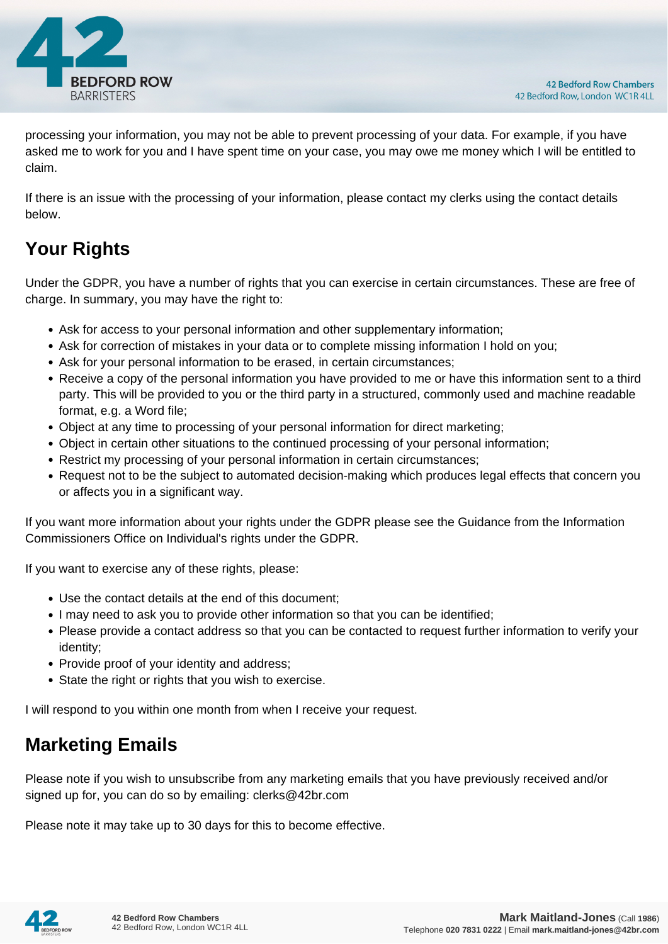

processing your information, you may not be able to prevent processing of your data. For example, if you have asked me to work for you and I have spent time on your case, you may owe me money which I will be entitled to claim.

If there is an issue with the processing of your information, please contact my clerks using the contact details below.

## **Your Rights**

Under the GDPR, you have a number of rights that you can exercise in certain circumstances. These are free of charge. In summary, you may have the right to:

- Ask for access to your personal information and other supplementary information;
- Ask for correction of mistakes in your data or to complete missing information I hold on you;
- Ask for your personal information to be erased, in certain circumstances;
- Receive a copy of the personal information you have provided to me or have this information sent to a third party. This will be provided to you or the third party in a structured, commonly used and machine readable format, e.g. a Word file;
- Object at any time to processing of your personal information for direct marketing;
- Object in certain other situations to the continued processing of your personal information;
- Restrict my processing of your personal information in certain circumstances;
- Request not to be the subject to automated decision-making which produces legal effects that concern you or affects you in a significant way.

If you want more information about your rights under the GDPR please see the Guidance from the Information Commissioners Office on Individual's rights under the GDPR.

If you want to exercise any of these rights, please:

- Use the contact details at the end of this document;
- I may need to ask you to provide other information so that you can be identified;
- Please provide a contact address so that you can be contacted to request further information to verify your identity;
- Provide proof of your identity and address;
- State the right or rights that you wish to exercise.

I will respond to you within one month from when I receive your request.

#### **Marketing Emails**

Please note if you wish to unsubscribe from any marketing emails that you have previously received and/or signed up for, you can do so by emailing: clerks@42br.com

Please note it may take up to 30 days for this to become effective.